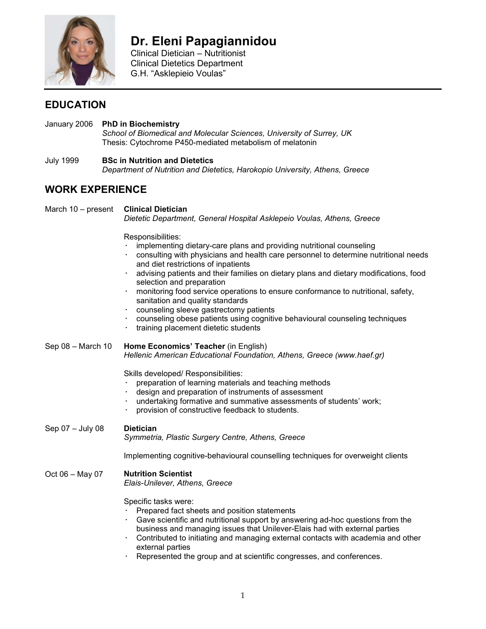

# **Dr. Eleni Papagiannidou**

 Clinical Dietician – Nutritionist Clinical Dietetics Department G.H. "Asklepieio Voulas"

## **EDUCATION**

- January 2006 **PhD in Biochemistry**  *School of Biomedical and Molecular Sciences, University of Surrey, UK*  Thesis: Cytochrome P450-mediated metabolism of melatonin
- July 1999 **BSc in Nutrition and Dietetics**  *Department of Nutrition and Dietetics, Harokopio University, Athens, Greece*

## **WORK EXPERIENCE**

March 10 – present **Clinical Dietician** *Dietetic Department, General Hospital Asklepeio Voulas, Athens, Greece*  Responsibilities: implementing dietary-care plans and providing nutritional counseling

- consulting with physicians and health care personnel to determine nutritional needs and diet restrictions of inpatients
- advising patients and their families on dietary plans and dietary modifications, food selection and preparation
- monitoring food service operations to ensure conformance to nutritional, safety, sanitation and quality standards
- counseling sleeve gastrectomy patients
- counseling obese patients using cognitive behavioural counseling techniques
- training placement dietetic students
- Sep 08 March 10 **Home Economics' Teacher** (in English) *Hellenic American Educational Foundation, Athens, Greece (www.haef.gr)*

Skills developed/ Responsibilities:

- preparation of learning materials and teaching methods
- design and preparation of instruments of assessment
- undertaking formative and summative assessments of students' work;
- provision of constructive feedback to students.

Sep 07 – July 08 **Dietician**

*Symmetria, Plastic Surgery Centre, Athens, Greece* 

Implementing cognitive-behavioural counselling techniques for overweight clients

#### Oct 06 – May 07 **Nutrition Scientist**

*Elais-Unilever, Athens, Greece* 

Specific tasks were:

- Prepared fact sheets and position statements
- Gave scientific and nutritional support by answering ad-hoc questions from the business and managing issues that Unilever-Elais had with external parties
- Contributed to initiating and managing external contacts with academia and other external parties
- Represented the group and at scientific congresses, and conferences.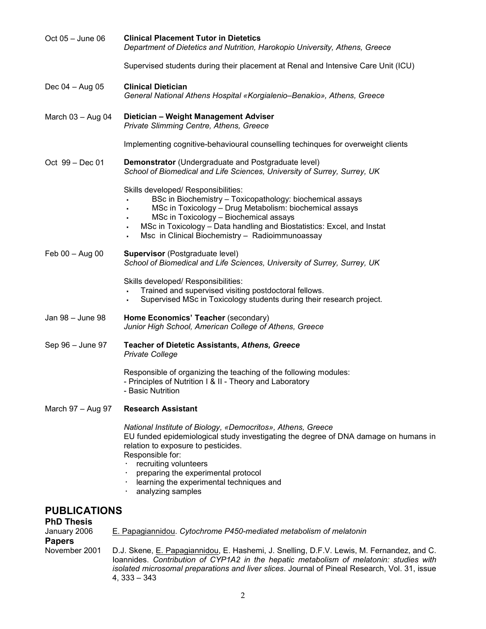| Oct 05 - June 06                  | <b>Clinical Placement Tutor in Dietetics</b><br>Department of Dietetics and Nutrition, Harokopio University, Athens, Greece                                                                                                                                                                                                                    |
|-----------------------------------|------------------------------------------------------------------------------------------------------------------------------------------------------------------------------------------------------------------------------------------------------------------------------------------------------------------------------------------------|
|                                   | Supervised students during their placement at Renal and Intensive Care Unit (ICU)                                                                                                                                                                                                                                                              |
| Dec 04 - Aug 05                   | <b>Clinical Dietician</b><br>General National Athens Hospital «Korgialenio–Benakio», Athens, Greece                                                                                                                                                                                                                                            |
| March $03 -$ Aug 04               | Dietician - Weight Management Adviser<br>Private Slimming Centre, Athens, Greece                                                                                                                                                                                                                                                               |
|                                   | Implementing cognitive-behavioural counselling techinques for overweight clients                                                                                                                                                                                                                                                               |
| Oct 99 - Dec 01                   | Demonstrator (Undergraduate and Postgraduate level)<br>School of Biomedical and Life Sciences, University of Surrey, Surrey, UK                                                                                                                                                                                                                |
|                                   | Skills developed/ Responsibilities:<br>BSc in Biochemistry - Toxicopathology: biochemical assays<br>MSc in Toxicology - Drug Metabolism: biochemical assays<br>MSc in Toxicology - Biochemical assays<br>MSc in Toxicology - Data handling and Biostatistics: Excel, and Instat<br>٠<br>Msc in Clinical Biochemistry - Radioimmunoassay<br>٠   |
| Feb 00 - Aug 00                   | <b>Supervisor</b> (Postgraduate level)<br>School of Biomedical and Life Sciences, University of Surrey, Surrey, UK                                                                                                                                                                                                                             |
|                                   | Skills developed/ Responsibilities:<br>Trained and supervised visiting postdoctoral fellows.<br>Supervised MSc in Toxicology students during their research project.<br>$\blacksquare$                                                                                                                                                         |
| Jan 98 - June 98                  | Home Economics' Teacher (secondary)<br>Junior High School, American College of Athens, Greece                                                                                                                                                                                                                                                  |
| Sep 96 - June 97                  | <b>Teacher of Dietetic Assistants, Athens, Greece</b><br><b>Private College</b>                                                                                                                                                                                                                                                                |
|                                   | Responsible of organizing the teaching of the following modules:<br>- Principles of Nutrition I & II - Theory and Laboratory<br>- Basic Nutrition                                                                                                                                                                                              |
| March 97 - Aug 97                 | <b>Research Assistant</b>                                                                                                                                                                                                                                                                                                                      |
|                                   | National Institute of Biology, «Democritos», Athens, Greece<br>EU funded epidemiological study investigating the degree of DNA damage on humans in<br>relation to exposure to pesticides.<br>Responsible for:<br>recruiting volunteers<br>preparing the experimental protocol<br>learning the experimental techniques and<br>analyzing samples |
| <b>PUBLICATIONS</b>               |                                                                                                                                                                                                                                                                                                                                                |
| <b>PhD Thesis</b><br>January 2006 | E. Papagiannidou. Cytochrome P450-mediated metabolism of melatonin                                                                                                                                                                                                                                                                             |
| <b>Papers</b><br>November 2001    | D.J. Skene, E. Papagiannidou, E. Hashemi, J. Snelling, D.F.V. Lewis, M. Fernandez, and C.                                                                                                                                                                                                                                                      |

Ioannides. *Contribution of CYP1A2 in the hepatic metabolism of melatonin: studies with isolated microsomal preparations and liver slices*. Journal of Pineal Research, Vol. 31, issue 4, 333 – 343